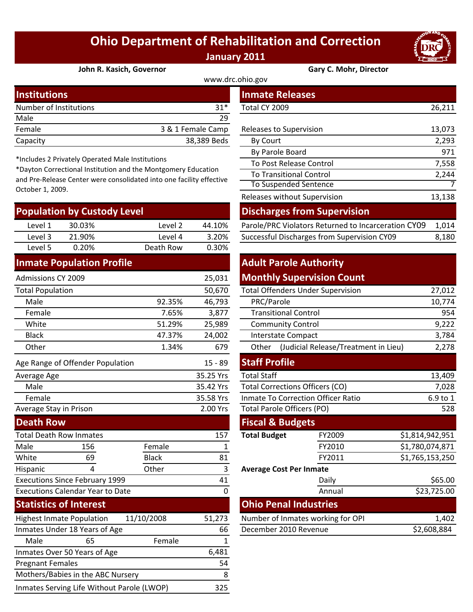## **Ohio Department of Rehabilitation and Correction January 2011**



#### **John R. Kasich, Governor Gary C. Mohr, Director**

| www.drc.ohio.gov       |                   |                         |        |  |  |  |
|------------------------|-------------------|-------------------------|--------|--|--|--|
| <b>Institutions</b>    |                   | <b>Inmate Releases</b>  |        |  |  |  |
| Number of Institutions | $31*$             | Total CY 2009           | 26,211 |  |  |  |
| Male                   | 29                |                         |        |  |  |  |
| Female                 | 3 & 1 Female Camp | Releases to Supervision | 13,073 |  |  |  |
| Capacity               | 38,389 Beds       | By Court                | 2,293  |  |  |  |
|                        |                   |                         |        |  |  |  |

\*Includes 2 Privately Operated Male Institutions

\*Dayton Correctional Institution and the Montgomery Education and Pre‐Release Center were consolidated into one facility effective October 1, 2009.

| <b>Population by Custody Level</b> |        |           |        | <b>Discharges from Supervision</b>                  |       |  |
|------------------------------------|--------|-----------|--------|-----------------------------------------------------|-------|--|
| Level 1                            | 30.03% | Level 2   | 44.10% | Parole/PRC Violators Returned to Incarceration CY09 | 1.014 |  |
| Level 3                            | 21.90% | Level 4   | 3.20%  | Successful Discharges from Supervision CY09         | 8,180 |  |
| Level 5                            | 0.20%  | Death Row | 0.30%  |                                                     |       |  |
|                                    |        |           |        |                                                     |       |  |

#### **Inmate Population Profile**

| 25,031<br><b>Admissions CY 2009</b>                     |                                  |              | <b>Monthly Supervision Count</b>          |                                               |                                        |                 |
|---------------------------------------------------------|----------------------------------|--------------|-------------------------------------------|-----------------------------------------------|----------------------------------------|-----------------|
| <b>Total Population</b>                                 |                                  |              | 50,670                                    | <b>Total Offenders Under Supervision</b>      |                                        | 27,012          |
| Male<br>92.35%                                          |                                  | 46,793       | PRC/Parole                                |                                               | 10,774                                 |                 |
| Female                                                  |                                  | 7.65%        | 3,877                                     | <b>Transitional Control</b>                   |                                        | 954             |
| White                                                   |                                  | 51.29%       | 25,989                                    | <b>Community Control</b>                      |                                        | 9,222           |
| <b>Black</b>                                            |                                  | 47.37%       | 24,002                                    | <b>Interstate Compact</b>                     |                                        | 3,784           |
| Other                                                   |                                  | 1.34%        | 679                                       | (Judicial Release/Treatment in Lieu)<br>Other |                                        | 2,278           |
|                                                         | Age Range of Offender Population |              | $15 - 89$                                 | <b>Staff Profile</b>                          |                                        |                 |
| Average Age                                             |                                  | 35.25 Yrs    | <b>Total Staff</b>                        |                                               | 13,409                                 |                 |
| Male                                                    |                                  |              | 35.42 Yrs                                 |                                               | <b>Total Corrections Officers (CO)</b> |                 |
| Female                                                  |                                  | 35.58 Yrs    | <b>Inmate To Correction Officer Ratio</b> |                                               | 6.9 to 1                               |                 |
| Average Stay in Prison                                  |                                  | 2.00 Yrs     | Total Parole Officers (PO)                |                                               | 528                                    |                 |
| <b>Death Row</b>                                        |                                  |              |                                           | <b>Fiscal &amp; Budgets</b>                   |                                        |                 |
| <b>Total Death Row Inmates</b>                          |                                  |              | 157                                       | <b>Total Budget</b>                           | FY2009                                 | \$1,814,942,951 |
| Male                                                    | 156                              | Female       | 1                                         |                                               | FY2010                                 | \$1,780,074,871 |
| White                                                   | 69                               | <b>Black</b> | 81                                        |                                               | FY2011                                 | \$1,765,153,250 |
| Hispanic                                                | 4                                | Other        | 3                                         | <b>Average Cost Per Inmate</b>                |                                        |                 |
| <b>Executions Since February 1999</b><br>41             |                                  |              |                                           | Daily                                         | \$65.00                                |                 |
| <b>Executions Calendar Year to Date</b><br>$\mathbf{0}$ |                                  |              |                                           |                                               | Annual                                 | \$23,725.00     |
| <b>Statistics of Interest</b>                           |                                  |              |                                           | <b>Ohio Penal Industries</b>                  |                                        |                 |
|                                                         | <b>Highest Inmate Population</b> | 11/10/2008   | 51,273                                    |                                               | Number of Inmates working for OPI      | 1,402           |
| Inmates Under 18 Years of Age<br>66                     |                                  |              | December 2010 Revenue                     |                                               | \$2,608,884                            |                 |
| Male                                                    | 65                               | Female       | 1                                         |                                               |                                        |                 |
| Inmates Over 50 Years of Age<br>6,481                   |                                  |              |                                           |                                               |                                        |                 |
| 54<br><b>Pregnant Females</b>                           |                                  |              |                                           |                                               |                                        |                 |

Mothers/Babies in the ABC Nursery 8 Inmates Serving Life Without Parole (LWOP) 325

| stitutions                                                                                                                                                                                       |                           |              |                   | <b>Inmate Releases</b>                              |        |  |  |
|--------------------------------------------------------------------------------------------------------------------------------------------------------------------------------------------------|---------------------------|--------------|-------------------|-----------------------------------------------------|--------|--|--|
|                                                                                                                                                                                                  | mber of Institutions      |              | $31*$             | Total CY 2009                                       | 26,211 |  |  |
| le                                                                                                                                                                                               |                           |              | 29                |                                                     |        |  |  |
| nale                                                                                                                                                                                             |                           |              | 3 & 1 Female Camp | Releases to Supervision                             | 13,073 |  |  |
| acity                                                                                                                                                                                            |                           |              | 38,389 Beds       | By Court                                            | 2,293  |  |  |
|                                                                                                                                                                                                  |                           |              |                   | By Parole Board                                     | 971    |  |  |
| cludes 2 Privately Operated Male Institutions<br>yton Correctional Institution and the Montgomery Education<br>Pre-Release Center were consolidated into one facility effective<br>ober 1, 2009. |                           |              |                   | To Post Release Control                             | 7,558  |  |  |
|                                                                                                                                                                                                  |                           |              |                   | <b>To Transitional Control</b>                      | 2,244  |  |  |
|                                                                                                                                                                                                  |                           |              |                   | To Suspended Sentence                               |        |  |  |
|                                                                                                                                                                                                  |                           |              |                   | Releases without Supervision                        | 13,138 |  |  |
|                                                                                                                                                                                                  | pulation by Custody Level |              |                   | <b>Discharges from Supervision</b>                  |        |  |  |
| Level 1                                                                                                                                                                                          | 30.03%                    | Level 2      | 44.10%            | Parole/PRC Violators Returned to Incarceration CY09 | 1,014  |  |  |
| <b>۱</b> امریم ا                                                                                                                                                                                 | 21 90%                    | $\rho$ lavel | 3.20%             | Successful Discharges from Supervision CY09         | 8180   |  |  |

### **Adult Parole Authority Monthly Supervision Count**

| 50,670<br><b>Total Offenders Under Supervision</b> |           |                                           |                                               | 27,012                       |                 |  |
|----------------------------------------------------|-----------|-------------------------------------------|-----------------------------------------------|------------------------------|-----------------|--|
| 92.35%                                             | 46,793    | PRC/Parole                                |                                               |                              | 10,774          |  |
| 7.65%                                              | 3,877     | <b>Transitional Control</b>               |                                               |                              | 954             |  |
| 51.29%                                             | 25,989    | <b>Community Control</b>                  |                                               |                              | 9,222           |  |
| 47.37%                                             | 24,002    | <b>Interstate Compact</b>                 |                                               |                              | 3,784           |  |
| 1.34%                                              | 679       | Other                                     | (Judicial Release/Treatment in Lieu)<br>2,278 |                              |                 |  |
|                                                    | $15 - 89$ | <b>Staff Profile</b>                      |                                               |                              |                 |  |
|                                                    | 35.25 Yrs | <b>Total Staff</b>                        |                                               |                              | 13,409          |  |
|                                                    | 35.42 Yrs | <b>Total Corrections Officers (CO)</b>    | 7,028                                         |                              |                 |  |
|                                                    | 35.58 Yrs | <b>Inmate To Correction Officer Ratio</b> | 6.9 to 1                                      |                              |                 |  |
|                                                    | 2.00 Yrs  | <b>Total Parole Officers (PO)</b>         |                                               |                              | 528             |  |
|                                                    |           | <b>Fiscal &amp; Budgets</b>               |                                               |                              |                 |  |
|                                                    | 157       | <b>Total Budget</b>                       |                                               | FY2009                       | \$1,814,942,951 |  |
| ıale                                               | 1         |                                           |                                               | FY2010                       | \$1,780,074,871 |  |
| :k                                                 | 81        |                                           |                                               | FY2011                       | \$1,765,153,250 |  |
| er                                                 | 3         | <b>Average Cost Per Inmate</b>            |                                               |                              |                 |  |
|                                                    | 41        |                                           |                                               | Daily                        | \$65.00         |  |
|                                                    | 0         |                                           |                                               | Annual                       | \$23,725.00     |  |
|                                                    |           |                                           |                                               | <b>Ohio Penal Industries</b> |                 |  |
| 08                                                 | 51,273    | Number of Inmates working for OPI         |                                               |                              | 1,402           |  |
| December 2010 Revenue<br>66                        |           |                                           |                                               | \$2,608,884                  |                 |  |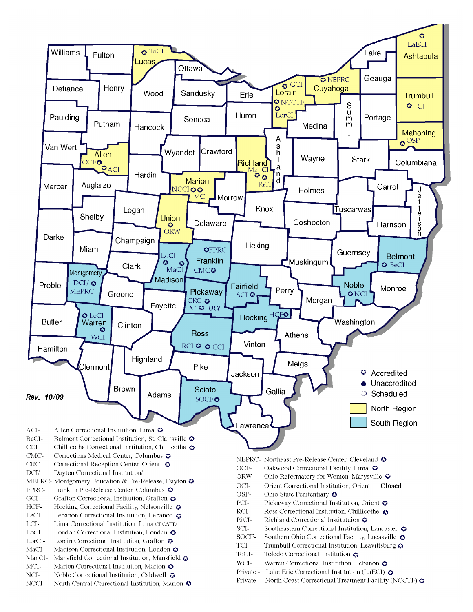